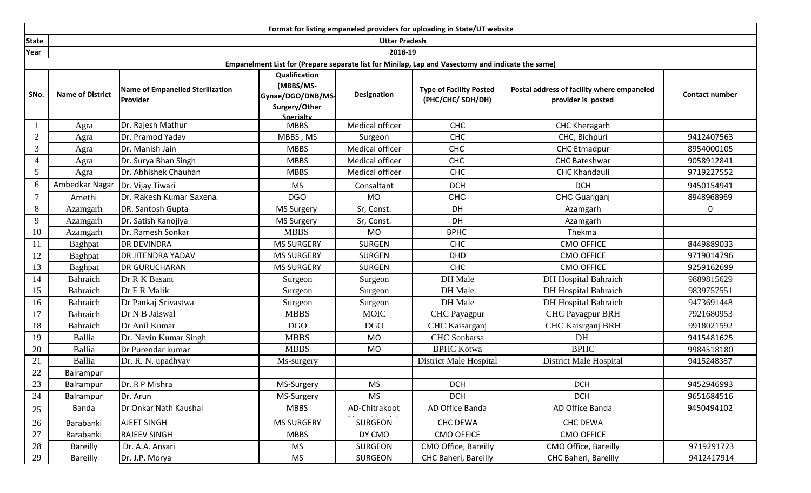|                | Format for listing empaneled providers for uploading in State/UT website                          |                                                     |                                                                               |                    |                                                     |                                                                  |                       |  |  |  |  |
|----------------|---------------------------------------------------------------------------------------------------|-----------------------------------------------------|-------------------------------------------------------------------------------|--------------------|-----------------------------------------------------|------------------------------------------------------------------|-----------------------|--|--|--|--|
| <b>State</b>   | <b>Uttar Pradesh</b>                                                                              |                                                     |                                                                               |                    |                                                     |                                                                  |                       |  |  |  |  |
| Year           |                                                                                                   |                                                     |                                                                               | 2018-19            |                                                     |                                                                  |                       |  |  |  |  |
|                | Empanelment List for (Prepare separate list for Minilap, Lap and Vasectomy and indicate the same) |                                                     |                                                                               |                    |                                                     |                                                                  |                       |  |  |  |  |
| SNo.           | <b>Name of District</b>                                                                           | <b>Name of Empanelled Sterilization</b><br>Provider | Qualification<br>(MBBS/MS-<br>Gynae/DGO/DNB/MS-<br>Surgery/Other<br>Snecialty | <b>Designation</b> | <b>Type of Facility Posted</b><br>(PHC/CHC/ SDH/DH) | Postal address of facility where empaneled<br>provider is posted | <b>Contact number</b> |  |  |  |  |
|                | Agra                                                                                              | Dr. Rajesh Mathur                                   | <b>MBBS</b>                                                                   | Medical officer    | <b>CHC</b>                                          | <b>CHC Kheragarh</b>                                             |                       |  |  |  |  |
| $\overline{2}$ | Agra                                                                                              | Dr. Pramod Yadav                                    | MBBS, MS                                                                      | Surgeon            | <b>CHC</b>                                          | CHC, Bichpuri                                                    | 9412407563            |  |  |  |  |
| 3              | Agra                                                                                              | Dr. Manish Jain                                     | <b>MBBS</b>                                                                   | Medical officer    | CHC                                                 | <b>CHC Etmadpur</b>                                              | 8954000105            |  |  |  |  |
| $\overline{4}$ | Agra                                                                                              | Dr. Surya Bhan Singh                                | <b>MBBS</b>                                                                   | Medical officer    | <b>CHC</b>                                          | <b>CHC Bateshwar</b>                                             | 9058912841            |  |  |  |  |
| 5              | Agra                                                                                              | Dr. Abhishek Chauhan                                | <b>MBBS</b>                                                                   | Medical officer    | <b>CHC</b>                                          | <b>CHC Khandauli</b>                                             | 9719227552            |  |  |  |  |
| 6              | Ambedkar Nagar                                                                                    | Dr. Vijay Tiwari                                    | <b>MS</b>                                                                     | Consaltant         | <b>DCH</b>                                          | <b>DCH</b>                                                       | 9450154941            |  |  |  |  |
|                | Amethi                                                                                            | Dr. Rakesh Kumar Saxena                             | <b>DGO</b>                                                                    | <b>MO</b>          | <b>CHC</b>                                          | <b>CHC Guariganj</b>                                             | 8948968969            |  |  |  |  |
| 8              | Azamgarh                                                                                          | DR. Santosh Gupta                                   | <b>MS Surgery</b>                                                             | Sr, Const.         | DH                                                  | Azamgarh                                                         | 0                     |  |  |  |  |
| 9              | Azamgarh                                                                                          | Dr. Satish Kanojiya                                 | <b>MS Surgery</b>                                                             | Sr, Const.         | DH                                                  | Azamgarh                                                         |                       |  |  |  |  |
| 10             | Azamgarh                                                                                          | Dr. Ramesh Sonkar                                   | <b>MBBS</b>                                                                   | <b>MO</b>          | <b>BPHC</b>                                         | Thekma                                                           |                       |  |  |  |  |
| 11             | Baghpat                                                                                           | <b>DR DEVINDRA</b>                                  | <b>MS SURGERY</b>                                                             | <b>SURGEN</b>      | <b>CHC</b>                                          | <b>CMO OFFICE</b>                                                | 8449889033            |  |  |  |  |
| 12             | Baghpat                                                                                           | DR JITENDRA YADAV                                   | <b>MS SURGERY</b>                                                             | <b>SURGEN</b>      | <b>DHD</b>                                          | <b>CMO OFFICE</b>                                                | 9719014796            |  |  |  |  |
| 13             | Baghpat                                                                                           | DR GURUCHARAN                                       | <b>MS SURGERY</b>                                                             | <b>SURGEN</b>      | <b>CHC</b>                                          | <b>CMO OFFICE</b>                                                | 9259162699            |  |  |  |  |
| 14             | Bahraich                                                                                          | Dr R K Basant                                       | Surgeon                                                                       | Surgeon            | DH Male                                             | <b>DH</b> Hospital Bahraich                                      | 9889815629            |  |  |  |  |
| 15             | Bahraich                                                                                          | Dr F R Malik                                        | Surgeon                                                                       | Surgeon            | DH Male                                             | <b>DH</b> Hospital Bahraich                                      | 9839757551            |  |  |  |  |
| 16             | Bahraich                                                                                          | Dr Pankaj Srivastwa                                 | Surgeon                                                                       | Surgeon            | DH Male                                             | <b>DH Hospital Bahraich</b>                                      | 9473691448            |  |  |  |  |
| 17             | Bahraich                                                                                          | Dr N B Jaiswal                                      | <b>MBBS</b>                                                                   | <b>MOIC</b>        | <b>CHC</b> Payagpur                                 | <b>CHC Payagpur BRH</b>                                          | 7921680953            |  |  |  |  |
| 18             | Bahraich                                                                                          | Dr Anil Kumar                                       | <b>DGO</b>                                                                    | <b>DGO</b>         | CHC Kaisarganj                                      | CHC Kaisrganj BRH                                                | 9918021592            |  |  |  |  |
| 19             | Ballia                                                                                            | Dr. Navin Kumar Singh                               | <b>MBBS</b>                                                                   | MO                 | <b>CHC</b> Sonbarsa                                 | DH                                                               | 9415481625            |  |  |  |  |
| 20             | Ballia                                                                                            | Dr Purendar kumar                                   | <b>MBBS</b>                                                                   | MO                 | <b>BPHC</b> Kotwa                                   | <b>BPHC</b>                                                      | 9984518180            |  |  |  |  |
| 21             | Ballia                                                                                            | Dr. R. N. upadhyay                                  | Ms-surgery                                                                    |                    | <b>District Male Hospital</b>                       | District Male Hospital                                           | 9415248387            |  |  |  |  |
| 22             | Balrampur                                                                                         |                                                     |                                                                               |                    |                                                     |                                                                  |                       |  |  |  |  |
| 23             | Balrampur                                                                                         | Dr. R P Mishra                                      | MS-Surgery                                                                    | <b>MS</b>          | <b>DCH</b>                                          | <b>DCH</b>                                                       | 9452946993            |  |  |  |  |
| 24             | Balrampur                                                                                         | Dr. Arun                                            | MS-Surgery                                                                    | <b>MS</b>          | <b>DCH</b>                                          | <b>DCH</b>                                                       | 9651684516            |  |  |  |  |
| 25             | Banda                                                                                             | Dr Onkar Nath Kaushal                               | <b>MBBS</b>                                                                   | AD-Chitrakoot      | AD Office Banda                                     | AD Office Banda                                                  | 9450494102            |  |  |  |  |
| 26             | Barabanki                                                                                         | AJEET SINGH                                         | <b>MS SURGERY</b>                                                             | <b>SURGEON</b>     | CHC DEWA                                            | <b>CHC DEWA</b>                                                  |                       |  |  |  |  |
| 27             | Barabanki                                                                                         | <b>RAJEEV SINGH</b>                                 | <b>MBBS</b>                                                                   | DY CMO             | <b>CMO OFFICE</b>                                   | <b>CMO OFFICE</b>                                                |                       |  |  |  |  |
| 28             | <b>Bareilly</b>                                                                                   | Dr. A.A. Ansari                                     | MS                                                                            | <b>SURGEON</b>     | CMO Office, Bareilly                                | CMO Office, Bareilly                                             | 9719291723            |  |  |  |  |
| 29             | <b>Bareilly</b>                                                                                   | Dr. J.P. Morya                                      | MS                                                                            | <b>SURGEON</b>     | CHC Baheri, Bareilly                                | CHC Baheri, Bareilly                                             | 9412417914            |  |  |  |  |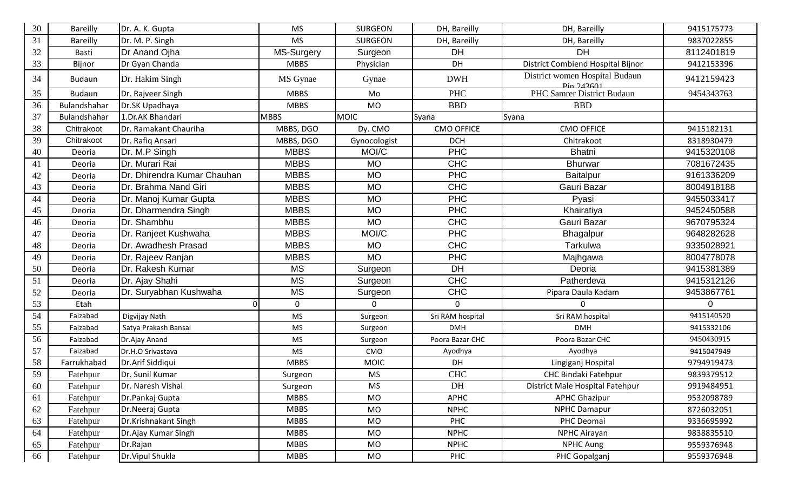| $30\,$ | <b>Bareilly</b> | Dr. A. K. Gupta             | <b>MS</b>   | <b>SURGEON</b> | DH, Bareilly      | DH, Bareilly                                                     | 9415175773 |
|--------|-----------------|-----------------------------|-------------|----------------|-------------------|------------------------------------------------------------------|------------|
| 31     | <b>Bareilly</b> | Dr. M. P. Singh             | <b>MS</b>   | <b>SURGEON</b> | DH, Bareilly      | DH, Bareilly                                                     | 9837022855 |
| 32     | Basti           | Dr Anand Ojha               | MS-Surgery  | Surgeon        | <b>DH</b>         | <b>DH</b>                                                        | 8112401819 |
| 33     | Bijnor          | Dr Gyan Chanda              | <b>MBBS</b> | Physician      | DH                | District Combiend Hospital Bijnor                                | 9412153396 |
| 34     | <b>Budaun</b>   | Dr. Hakim Singh             | MS Gynae    | Gynae          | <b>DWH</b>        | District women Hospital Budaun<br>$\frac{D_{10} 243601}{243601}$ | 9412159423 |
| 35     | <b>Budaun</b>   | Dr. Rajveer Singh           | <b>MBBS</b> | Mo             | <b>PHC</b>        | PHC Samrer District Budaun                                       | 9454343763 |
| 36     | Bulandshahar    | Dr.SK Upadhaya              | <b>MBBS</b> | <b>MO</b>      | <b>BBD</b>        | <b>BBD</b>                                                       |            |
| 37     | Bulandshahar    | 1.Dr.AK Bhandari            | <b>MBBS</b> | <b>MOIC</b>    | Syana             | Syana                                                            |            |
| 38     | Chitrakoot      | Dr. Ramakant Chauriha       | MBBS, DGO   | Dy. CMO        | <b>CMO OFFICE</b> | <b>CMO OFFICE</b>                                                | 9415182131 |
| 39     | Chitrakoot      | Dr. Rafiq Ansari            | MBBS, DGO   | Gynocologist   | <b>DCH</b>        | Chitrakoot                                                       | 8318930479 |
| 40     | Deoria          | Dr. M.P Singh               | <b>MBBS</b> | MOI/C          | <b>PHC</b>        | Bhatni                                                           | 9415320108 |
| 41     | Deoria          | Dr. Murari Rai              | <b>MBBS</b> | <b>MO</b>      | <b>CHC</b>        | <b>Bhurwar</b>                                                   | 7081672435 |
| 42     | Deoria          | Dr. Dhirendra Kumar Chauhan | <b>MBBS</b> | <b>MO</b>      | <b>PHC</b>        | Baitalpur                                                        | 9161336209 |
| 43     | Deoria          | Dr. Brahma Nand Giri        | <b>MBBS</b> | <b>MO</b>      | <b>CHC</b>        | Gauri Bazar                                                      | 8004918188 |
| 44     | Deoria          | Dr. Manoj Kumar Gupta       | <b>MBBS</b> | <b>MO</b>      | <b>PHC</b>        | Pyasi                                                            | 9455033417 |
| 45     | Deoria          | Dr. Dharmendra Singh        | <b>MBBS</b> | <b>MO</b>      | <b>PHC</b>        | Khairatiya                                                       | 9452450588 |
| 46     | Deoria          | Dr. Shambhu                 | <b>MBBS</b> | <b>MO</b>      | <b>CHC</b>        | Gauri Bazar                                                      | 9670795324 |
| 47     | Deoria          | Dr. Ranjeet Kushwaha        | <b>MBBS</b> | MOI/C          | <b>PHC</b>        | Bhagalpur                                                        | 9648282628 |
| 48     | Deoria          | Dr. Awadhesh Prasad         | <b>MBBS</b> | <b>MO</b>      | <b>CHC</b>        | Tarkulwa                                                         | 9335028921 |
| 49     | Deoria          | Dr. Rajeev Ranjan           | <b>MBBS</b> | <b>MO</b>      | <b>PHC</b>        | Majhgawa                                                         | 8004778078 |
| 50     | Deoria          | Dr. Rakesh Kumar            | <b>MS</b>   | Surgeon        | <b>DH</b>         | Deoria                                                           | 9415381389 |
| 51     | Deoria          | Dr. Ajay Shahi              | <b>MS</b>   | Surgeon        | <b>CHC</b>        | Patherdeva                                                       | 9415312126 |
| 52     | Deoria          | Dr. Suryabhan Kushwaha      | <b>MS</b>   | Surgeon        | <b>CHC</b>        | Pipara Daula Kadam                                               | 9453867761 |
| 53     | Etah            | U                           | 0           | $\Omega$       | $\Omega$          | $\Omega$                                                         | 0          |
| 54     | Faizabad        | Digvijay Nath               | <b>MS</b>   | Surgeon        | Sri RAM hospital  | Sri RAM hospital                                                 | 9415140520 |
| 55     | Faizabad        | Satya Prakash Bansal        | <b>MS</b>   | Surgeon        | <b>DMH</b>        | <b>DMH</b>                                                       | 9415332106 |
| 56     | Faizabad        | Dr.Ajay Anand               | <b>MS</b>   | Surgeon        | Poora Bazar CHC   | Poora Bazar CHC                                                  | 9450430915 |
| 57     | Faizabad        | Dr.H.O Srivastava           | <b>MS</b>   | CMO            | Ayodhya           | Ayodhya                                                          | 9415047949 |
| 58     | Farrukhabad     | Dr.Arif Siddiqui            | <b>MBBS</b> | <b>MOIC</b>    | DH                | Lingiganj Hospital                                               | 9794919473 |
| 59     | Fatehpur        | Dr. Sunil Kumar             | Surgeon     | MS             | <b>CHC</b>        | CHC Bindaki Fatehpur                                             | 9839379512 |
| 60     | Fatehpur        | Dr. Naresh Vishal           | Surgeon     | MS.            | DH                | District Male Hospital Fatehpur                                  | 9919484951 |
| 61     | Fatehpur        | Dr.Pankaj Gupta             | <b>MBBS</b> | <b>MO</b>      | <b>APHC</b>       | <b>APHC Ghazipur</b>                                             | 9532098789 |
| 62     | Fatehpur        | Dr.Neeraj Gupta             | <b>MBBS</b> | <b>MO</b>      | <b>NPHC</b>       | <b>NPHC Damapur</b>                                              | 8726032051 |
| 63     | Fatehpur        | Dr.Krishnakant Singh        | <b>MBBS</b> | <b>MO</b>      | <b>PHC</b>        | PHC Deomai                                                       | 9336695992 |
| 64     | Fatehpur        | Dr.Ajay Kumar Singh         | <b>MBBS</b> | MO             | <b>NPHC</b>       | NPHC Airayan                                                     | 9838835510 |
| 65     | Fatehpur        | Dr.Rajan                    | <b>MBBS</b> | MO             | <b>NPHC</b>       | <b>NPHC Aung</b>                                                 | 9559376948 |
| 66     | Fatehpur        | Dr. Vipul Shukla            | <b>MBBS</b> | MO             | <b>PHC</b>        | PHC Gopalganj                                                    | 9559376948 |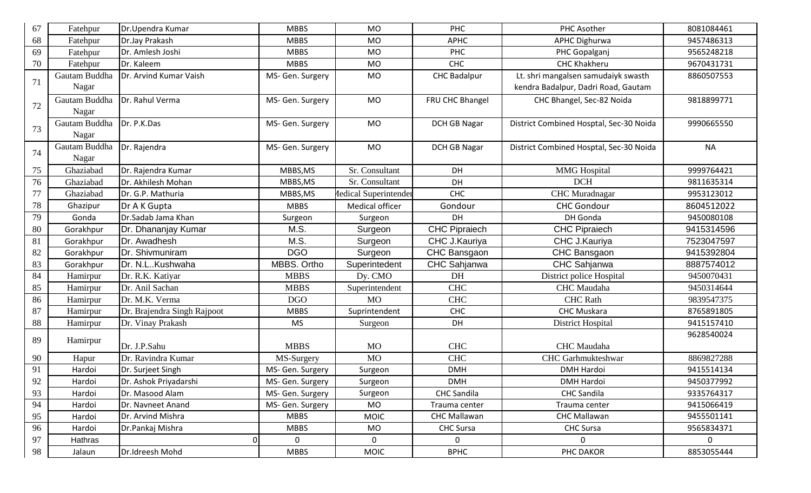| 67 | Fatehpur      | Dr.Upendra Kumar            | <b>MBBS</b>      | <b>MO</b>                    | PHC                  | PHC Asother                             | 8081084461     |
|----|---------------|-----------------------------|------------------|------------------------------|----------------------|-----------------------------------------|----------------|
| 68 | Fatehpur      | Dr.Jay Prakash              | <b>MBBS</b>      | <b>MO</b>                    | <b>APHC</b>          | <b>APHC Dighurwa</b>                    | 9457486313     |
| 69 | Fatehpur      | Dr. Amlesh Joshi            | <b>MBBS</b>      | <b>MO</b>                    | PHC                  | PHC Gopalganj                           | 9565248218     |
| 70 | Fatehpur      | Dr. Kaleem                  | <b>MBBS</b>      | <b>MO</b>                    | CHC                  | <b>CHC Khakheru</b>                     | 9670431731     |
|    | Gautam Buddha | Dr. Arvind Kumar Vaish      | MS- Gen. Surgery | <b>MO</b>                    | <b>CHC Badalpur</b>  | Lt. shri mangalsen samudaiyk swasth     | 8860507553     |
| 71 | Nagar         |                             |                  |                              |                      | kendra Badalpur, Dadri Road, Gautam     |                |
|    | Gautam Buddha | Dr. Rahul Verma             | MS- Gen. Surgery | <b>MO</b>                    | FRU CHC Bhangel      | CHC Bhangel, Sec-82 Noida               | 9818899771     |
| 72 | Nagar         |                             |                  |                              |                      |                                         |                |
| 73 | Gautam Buddha | Dr. P.K.Das                 | MS- Gen. Surgery | <b>MO</b>                    | <b>DCH GB Nagar</b>  | District Combined Hosptal, Sec-30 Noida | 9990665550     |
|    | Nagar         |                             |                  |                              |                      |                                         |                |
| 74 | Gautam Buddha | Dr. Rajendra                | MS- Gen. Surgery | <b>MO</b>                    | <b>DCH GB Nagar</b>  | District Combined Hosptal, Sec-30 Noida | <b>NA</b>      |
|    | Nagar         |                             |                  |                              |                      |                                         |                |
| 75 | Ghaziabad     | Dr. Rajendra Kumar          | MBBS, MS         | Sr. Consultant               | DH                   | <b>MMG</b> Hospital                     | 9999764421     |
| 76 | Ghaziabad     | Dr. Akhilesh Mohan          | MBBS, MS         | Sr. Consultant               | DH                   | <b>DCH</b>                              | 9811635314     |
| 77 | Ghaziabad     | Dr. G.P. Mathuria           | MBBS, MS         | <b>Iedical Superintender</b> | <b>CHC</b>           | <b>CHC</b> Muradnagar                   | 9953123012     |
| 78 | Ghazipur      | Dr A K Gupta                | <b>MBBS</b>      | Medical officer              | Gondour              | <b>CHC Gondour</b>                      | 8604512022     |
| 79 | Gonda         | Dr.Sadab Jama Khan          | Surgeon          | Surgeon                      | DH                   | DH Gonda                                | 9450080108     |
| 80 | Gorakhpur     | Dr. Dhananjay Kumar         | M.S.             | Surgeon                      | <b>CHC Pipraiech</b> | <b>CHC Pipraiech</b>                    | 9415314596     |
| 81 | Gorakhpur     | Dr. Awadhesh                | M.S.             | Surgeon                      | CHC J.Kauriya        | CHC J.Kauriya                           | 7523047597     |
| 82 | Gorakhpur     | Dr. Shivmuniram             | <b>DGO</b>       | Surgeon                      | CHC Bansgaon         | CHC Bansgaon                            | 9415392804     |
| 83 | Gorakhpur     | Dr. N.LKushwaha             | MBBS. Ortho      | Superintedent                | CHC Sahjanwa         | CHC Sahjanwa                            | 8887574012     |
| 84 | Hamirpur      | Dr. R.K. Katiyar            | <b>MBBS</b>      | Dy. CMO                      | DH                   | District police Hospital                | 9450070431     |
| 85 | Hamirpur      | Dr. Anil Sachan             | <b>MBBS</b>      | Superintendent               | <b>CHC</b>           | <b>CHC</b> Maudaha                      | 9450314644     |
| 86 | Hamirpur      | Dr. M.K. Verma              | <b>DGO</b>       | <b>MO</b>                    | <b>CHC</b>           | <b>CHC</b> Rath                         | 9839547375     |
| 87 | Hamirpur      | Dr. Brajendra Singh Rajpoot | <b>MBBS</b>      | Suprintendent                | CHC                  | <b>CHC Muskara</b>                      | 8765891805     |
| 88 | Hamirpur      | Dr. Vinay Prakash           | <b>MS</b>        | Surgeon                      | DH                   | District Hospital                       | 9415157410     |
| 89 | Hamirpur      |                             |                  |                              |                      |                                         | 9628540024     |
|    |               | Dr. J.P.Sahu                | <b>MBBS</b>      | <b>MO</b>                    | <b>CHC</b>           | <b>CHC</b> Maudaha                      |                |
| 90 | Hapur         | Dr. Ravindra Kumar          | MS-Surgery       | <b>MO</b>                    | <b>CHC</b>           | CHC Garhmukteshwar                      | 8869827288     |
| 91 | Hardoi        | Dr. Surjeet Singh           | MS- Gen. Surgery | Surgeon                      | <b>DMH</b>           | <b>DMH Hardoi</b>                       | 9415514134     |
| 92 | Hardoi        | Dr. Ashok Priyadarshi       | MS- Gen. Surgery | Surgeon                      | <b>DMH</b>           | DMH Hardoi                              | 9450377992     |
| 93 | Hardoi        | Dr. Masood Alam             | MS- Gen. Surgery | Surgeon                      | <b>CHC</b> Sandila   | <b>CHC Sandila</b>                      | 9335764317     |
| 94 | Hardoi        | Dr. Navneet Anand           | MS- Gen. Surgery | <b>MO</b>                    | Trauma center        | Trauma center                           | 9415066419     |
| 95 | Hardoi        | Dr. Arvind Mishra           | <b>MBBS</b>      | <b>MOIC</b>                  | <b>CHC Mallawan</b>  | <b>CHC Mallawan</b>                     | 9455501141     |
| 96 | Hardoi        | Dr.Pankaj Mishra            | <b>MBBS</b>      | MO                           | <b>CHC Sursa</b>     | <b>CHC Sursa</b>                        | 9565834371     |
| 97 | Hathras       | 01                          | $\overline{0}$   | $\mathbf 0$                  | $\mathbf{0}$         | $\mathbf{0}$                            | $\overline{0}$ |
| 98 | Jalaun        | Dr.Idreesh Mohd             | <b>MBBS</b>      | <b>MOIC</b>                  | <b>BPHC</b>          | PHC DAKOR                               | 8853055444     |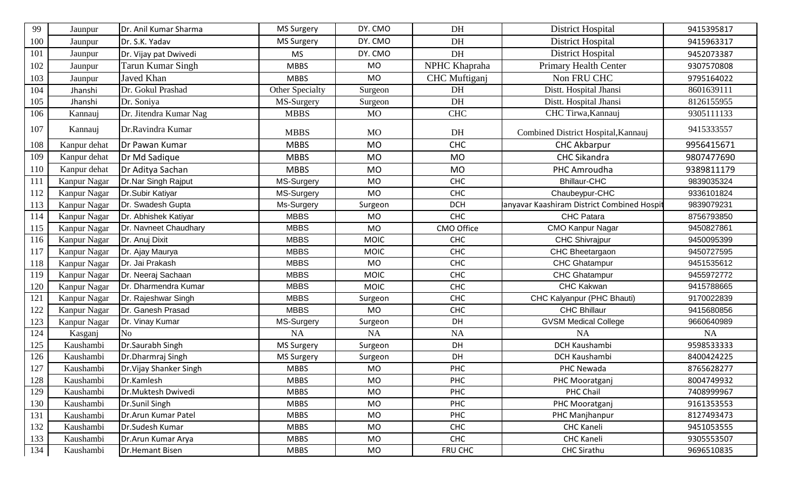| 99  | Jaunpur             | Dr. Anil Kumar Sharma    | <b>MS Surgery</b> | DY. CMO     | DH            | District Hospital                         | 9415395817 |
|-----|---------------------|--------------------------|-------------------|-------------|---------------|-------------------------------------------|------------|
| 100 | Jaunpur             | Dr. S.K. Yadav           | <b>MS Surgery</b> | DY. CMO     | DH            | District Hospital                         | 9415963317 |
| 101 | Jaunpur             | Dr. Vijay pat Dwivedi    | <b>MS</b>         | DY. CMO     | DH            | District Hospital                         | 9452073387 |
| 102 | Jaunpur             | <b>Tarun Kumar Singh</b> | <b>MBBS</b>       | <b>MO</b>   | NPHC Khapraha | Primary Health Center                     | 9307570808 |
| 103 | Jaunpur             | Javed Khan               | <b>MBBS</b>       | <b>MO</b>   | CHC Muftiganj | Non FRU CHC                               | 9795164022 |
| 104 | Jhanshi             | Dr. Gokul Prashad        | Other Specialty   | Surgeon     | DH            | Distt. Hospital Jhansi                    | 8601639111 |
| 105 | Jhanshi             | Dr. Soniya               | MS-Surgery        | Surgeon     | DH            | Distt. Hospital Jhansi                    | 8126155955 |
| 106 | Kannauj             | Dr. Jitendra Kumar Nag   | <b>MBBS</b>       | <b>MO</b>   | <b>CHC</b>    | CHC Tirwa, Kannauj                        | 9305111133 |
| 107 | Kannauj             | Dr.Ravindra Kumar        | <b>MBBS</b>       | <b>MO</b>   | DH            | Combined District Hospital, Kannauj       | 9415333557 |
| 108 | Kanpur dehat        | Dr Pawan Kumar           | <b>MBBS</b>       | <b>MO</b>   | <b>CHC</b>    | <b>CHC Akbarpur</b>                       | 9956415671 |
| 109 | Kanpur dehat        | Dr Md Sadique            | <b>MBBS</b>       | <b>MO</b>   | <b>MO</b>     | <b>CHC Sikandra</b>                       | 9807477690 |
| 110 | Kanpur dehat        | Dr Aditya Sachan         | <b>MBBS</b>       | <b>MO</b>   | <b>MO</b>     | PHC Amroudha                              | 9389811179 |
| 111 | Kanpur Nagar        | Dr.Nar Singh Rajput      | MS-Surgery        | <b>MO</b>   | <b>CHC</b>    | <b>Bhillaur-CHC</b>                       | 9839035324 |
| 112 | Kanpur Nagar        | Dr.Subir Katiyar         | MS-Surgery        | <b>MO</b>   | <b>CHC</b>    | Chaubeypur-CHC                            | 9336101824 |
| 113 | Kanpur Nagar        | Dr. Swadesh Gupta        | Ms-Surgery        | Surgeon     | <b>DCH</b>    | anyavar Kaashiram District Combined Hospi | 9839079231 |
| 114 | Kanpur Nagar        | Dr. Abhishek Katiyar     | <b>MBBS</b>       | <b>MO</b>   | <b>CHC</b>    | <b>CHC Patara</b>                         | 8756793850 |
| 115 | Kanpur Nagar        | Dr. Navneet Chaudhary    | <b>MBBS</b>       | <b>MO</b>   | CMO Office    | <b>CMO Kanpur Nagar</b>                   | 9450827861 |
| 116 | Kanpur Nagar        | Dr. Anuj Dixit           | <b>MBBS</b>       | <b>MOIC</b> | <b>CHC</b>    | <b>CHC Shivrajpur</b>                     | 9450095399 |
| 117 | Kanpur Nagar        | Dr. Ajay Maurya          | <b>MBBS</b>       | <b>MOIC</b> | <b>CHC</b>    | CHC Bheetargaon                           | 9450727595 |
| 118 | Kanpur Nagar        | Dr. Jai Prakash          | <b>MBBS</b>       | <b>MO</b>   | CHC           | <b>CHC Ghatampur</b>                      | 9451535612 |
| 119 | Kanpur Nagar        | Dr. Neeraj Sachaan       | <b>MBBS</b>       | <b>MOIC</b> | <b>CHC</b>    | CHC Ghatampur                             | 9455972772 |
| 120 | Kanpur Nagar        | Dr. Dharmendra Kumar     | <b>MBBS</b>       | <b>MOIC</b> | <b>CHC</b>    | CHC Kakwan                                | 9415788665 |
| 121 | Kanpur Nagar        | Dr. Rajeshwar Singh      | <b>MBBS</b>       | Surgeon     | <b>CHC</b>    | CHC Kalyanpur (PHC Bhauti)                | 9170022839 |
| 122 | Kanpur Nagar        | Dr. Ganesh Prasad        | <b>MBBS</b>       | <b>MO</b>   | <b>CHC</b>    | <b>CHC Bhillaur</b>                       | 9415680856 |
| 123 | <b>Kanpur Nagar</b> | Dr. Vinay Kumar          | MS-Surgery        | Surgeon     | DH            | <b>GVSM Medical College</b>               | 9660640989 |
| 124 | Kasganj             | N <sub>o</sub>           | <b>NA</b>         | <b>NA</b>   | NA            | <b>NA</b>                                 | <b>NA</b>  |
| 125 | Kaushambi           | Dr.Saurabh Singh         | <b>MS Surgery</b> | Surgeon     | DH            | <b>DCH Kaushambi</b>                      | 9598533333 |
| 126 | Kaushambi           | Dr.Dharmraj Singh        | <b>MS Surgery</b> | Surgeon     | DH            | <b>DCH Kaushambi</b>                      | 8400424225 |
| 127 | Kaushambi           | Dr. Vijay Shanker Singh  | <b>MBBS</b>       | <b>MO</b>   | PHC           | PHC Newada                                | 8765628277 |
| 128 | Kaushambi           | Dr.Kamlesh               | <b>MBBS</b>       | <b>MO</b>   | <b>PHC</b>    | PHC Mooratganj                            | 8004749932 |
| 129 | Kaushambi           | Dr.Muktesh Dwivedi       | <b>MBBS</b>       | <b>MO</b>   | <b>PHC</b>    | PHC Chail                                 | 7408999967 |
| 130 | Kaushambi           | Dr.Sunil Singh           | <b>MBBS</b>       | <b>MO</b>   | PHC           | PHC Mooratganj                            | 9161353553 |
| 131 | Kaushambi           | Dr.Arun Kumar Patel      | <b>MBBS</b>       | MO          | PHC           | PHC Manjhanpur                            | 8127493473 |
| 132 | Kaushambi           | Dr.Sudesh Kumar          | <b>MBBS</b>       | <b>MO</b>   | CHC           | <b>CHC Kaneli</b>                         | 9451053555 |
| 133 | Kaushambi           | Dr.Arun Kumar Arya       | <b>MBBS</b>       | <b>MO</b>   | <b>CHC</b>    | <b>CHC Kaneli</b>                         | 9305553507 |
| 134 | Kaushambi           | Dr.Hemant Bisen          | <b>MBBS</b>       | MO          | FRU CHC       | <b>CHC Sirathu</b>                        | 9696510835 |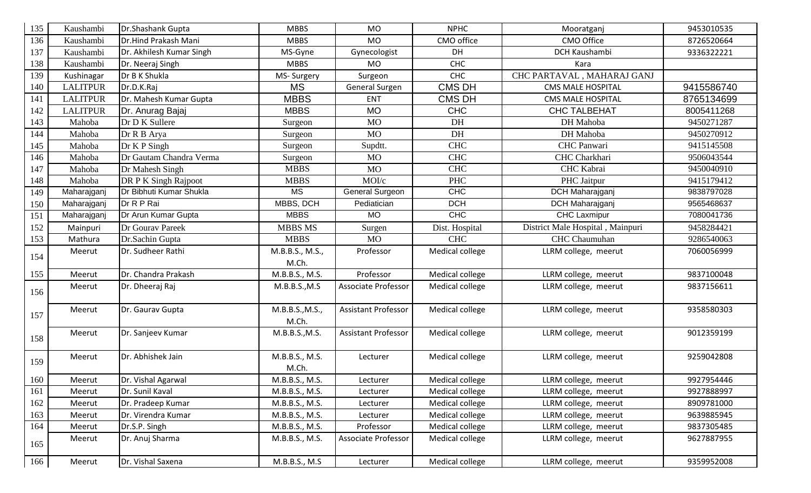| 135 | Kaushambi       | Dr.Shashank Gupta        | <b>MBBS</b>     | <b>MO</b>                  | <b>NPHC</b>     | Mooratganj                       | 9453010535 |
|-----|-----------------|--------------------------|-----------------|----------------------------|-----------------|----------------------------------|------------|
| 136 | Kaushambi       | Dr.Hind Prakash Mani     | <b>MBBS</b>     | <b>MO</b>                  | CMO office      | CMO Office                       | 8726520664 |
| 137 | Kaushambi       | Dr. Akhilesh Kumar Singh | MS-Gyne         | Gynecologist               | DH              | <b>DCH Kaushambi</b>             | 9336322221 |
| 138 | Kaushambi       | Dr. Neeraj Singh         | <b>MBBS</b>     | <b>MO</b>                  | <b>CHC</b>      | Kara                             |            |
| 139 | Kushinagar      | Dr B K Shukla            | MS-Surgery      | Surgeon                    | <b>CHC</b>      | CHC PARTAVAL, MAHARAJ GANJ       |            |
| 140 | <b>LALITPUR</b> | Dr.D.K.Raj               | <b>MS</b>       | General Surgen             | <b>CMS DH</b>   | <b>CMS MALE HOSPITAL</b>         | 9415586740 |
| 141 | <b>LALITPUR</b> | Dr. Mahesh Kumar Gupta   | <b>MBBS</b>     | ENT                        | <b>CMS DH</b>   | <b>CMS MALE HOSPITAL</b>         | 8765134699 |
| 142 | <b>LALITPUR</b> | Dr. Anurag Bajaj         | <b>MBBS</b>     | <b>MO</b>                  | <b>CHC</b>      | <b>CHC TALBEHAT</b>              | 8005411268 |
| 143 | Mahoba          | Dr D K Sullere           | Surgeon         | <b>MO</b>                  | DH              | DH Mahoba                        | 9450271287 |
| 144 | Mahoba          | Dr R B Arya              | Surgeon         | <b>MO</b>                  | DH              | DH Mahoba                        | 9450270912 |
| 145 | Mahoba          | Dr K P Singh             | Surgeon         | Supdtt.                    | <b>CHC</b>      | <b>CHC</b> Panwari               | 9415145508 |
| 146 | Mahoba          | Dr Gautam Chandra Verma  | Surgeon         | <b>MO</b>                  | <b>CHC</b>      | CHC Charkhari                    | 9506043544 |
| 147 | Mahoba          | Dr Mahesh Singh          | <b>MBBS</b>     | <b>MO</b>                  | <b>CHC</b>      | <b>CHC</b> Kabrai                | 9450040910 |
| 148 | Mahoba          | DR P K Singh Rajpoot     | <b>MBBS</b>     | MOI/c                      | <b>PHC</b>      | PHC Jaitpur                      | 9415179412 |
| 149 | Maharajganj     | Dr Bibhuti Kumar Shukla  | <b>MS</b>       | <b>General Surgeon</b>     | CHC             | DCH Maharajganj                  | 9838797028 |
| 150 | Maharajganj     | Dr R P Rai               | MBBS, DCH       | Pediatician                | <b>DCH</b>      | <b>DCH</b> Maharajganj           | 9565468637 |
| 151 | Maharajganj     | Dr Arun Kumar Gupta      | <b>MBBS</b>     | <b>MO</b>                  | <b>CHC</b>      | <b>CHC Laxmipur</b>              | 7080041736 |
| 152 | Mainpuri        | Dr Gourav Pareek         | <b>MBBS MS</b>  | Surgen                     | Dist. Hospital  | District Male Hospital, Mainpuri | 9458284421 |
| 153 | Mathura         | Dr.Sachin Gupta          | <b>MBBS</b>     | <b>MO</b>                  | <b>CHC</b>      | <b>CHC</b> Chaumuhan             | 9286540063 |
| 154 | Meerut          | Dr. Sudheer Rathi        | M.B.B.S., M.S., | Professor                  | Medical college | LLRM college, meerut             | 7060056999 |
|     |                 |                          | M.Ch.           |                            |                 |                                  |            |
| 155 | Meerut          | Dr. Chandra Prakash      | M.B.B.S., M.S.  | Professor                  | Medical college | LLRM college, meerut             | 9837100048 |
| 156 | Meerut          | Dr. Dheeraj Raj          | M.B.B.S., M.S   | Associate Professor        | Medical college | LLRM college, meerut             | 9837156611 |
|     |                 |                          |                 |                            |                 |                                  |            |
| 157 | Meerut          | Dr. Gaurav Gupta         | M.B.B.S., M.S., | <b>Assistant Professor</b> | Medical college | LLRM college, meerut             | 9358580303 |
|     |                 |                          | M.Ch.           |                            |                 |                                  |            |
| 158 | Meerut          | Dr. Sanjeev Kumar        | M.B.B.S., M.S.  | <b>Assistant Professor</b> | Medical college | LLRM college, meerut             | 9012359199 |
|     |                 |                          |                 |                            |                 |                                  |            |
| 159 | Meerut          | Dr. Abhishek Jain        | M.B.B.S., M.S.  | Lecturer                   | Medical college | LLRM college, meerut             | 9259042808 |
|     |                 |                          | M.Ch.           |                            |                 |                                  |            |
| 160 | Meerut          | Dr. Vishal Agarwal       | M.B.B.S., M.S.  | Lecturer                   | Medical college | LLRM college, meerut             | 9927954446 |
| 161 | Meerut          | Dr. Sunil Kaval          | M.B.B.S., M.S.  | Lecturer                   | Medical college | LLRM college, meerut             | 9927888997 |
| 162 | Meerut          | Dr. Pradeep Kumar        | M.B.B.S., M.S.  | Lecturer                   | Medical college | LLRM college, meerut             | 8909781000 |
| 163 | Meerut          | Dr. Virendra Kumar       | M.B.B.S., M.S.  | Lecturer                   | Medical college | LLRM college, meerut             | 9639885945 |
| 164 | Meerut          | Dr.S.P. Singh            | M.B.B.S., M.S.  | Professor                  | Medical college | LLRM college, meerut             | 9837305485 |
| 165 | Meerut          | Dr. Anuj Sharma          | M.B.B.S., M.S.  | Associate Professor        | Medical college | LLRM college, meerut             | 9627887955 |
|     |                 |                          |                 |                            |                 |                                  |            |
| 166 | Meerut          | Dr. Vishal Saxena        | M.B.B.S., M.S   | Lecturer                   | Medical college | LLRM college, meerut             | 9359952008 |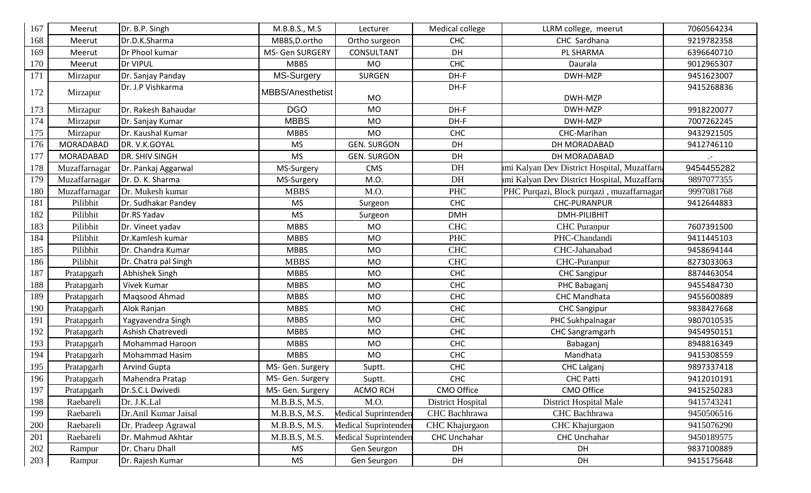| 167 | Meerut           | Dr. B.P. Singh         | M.B.B.S., M.S           | Lecturer             | Medical college          | LLRM college, meerut                         | 7060564234 |
|-----|------------------|------------------------|-------------------------|----------------------|--------------------------|----------------------------------------------|------------|
| 168 | Meerut           | Dr.D.K.Sharma          | MBBS, D.ortho           | Ortho surgeon        | <b>CHC</b>               | CHC Sardhana                                 | 9219782358 |
| 169 | Meerut           | Dr Phool kumar         | MS- Gen SURGERY         | <b>CONSULTANT</b>    | DH                       | PL SHARMA                                    | 6396640710 |
| 170 | Meerut           | Dr VIPUL               | <b>MBBS</b>             | <b>MO</b>            | <b>CHC</b>               | Daurala                                      | 9012965307 |
| 171 | Mirzapur         | Dr. Sanjay Panday      | MS-Surgery              | <b>SURGEN</b>        | DH-F                     | DWH-MZP                                      | 9451623007 |
| 172 | Mirzapur         | Dr. J.P Vishkarma      | <b>MBBS/Anesthetist</b> | <b>MO</b>            | DH-F                     | DWH-MZP                                      | 9415268836 |
| 173 | Mirzapur         | Dr. Rakesh Bahaudar    | <b>DGO</b>              | <b>MO</b>            | DH-F                     | DWH-MZP                                      | 9918220077 |
| 174 | Mirzapur         | Dr. Sanjay Kumar       | <b>MBBS</b>             | <b>MO</b>            | DH-F                     | DWH-MZP                                      | 7007262245 |
| 175 | Mirzapur         | Dr. Kaushal Kumar      | <b>MBBS</b>             | <b>MO</b>            | CHC                      | CHC-Marihan                                  | 9432921505 |
| 176 | MORADABAD        | DR. V.K.GOYAL          | <b>MS</b>               | <b>GEN. SURGON</b>   | DH                       | DH MORADABAD                                 | 9412746110 |
| 177 | <b>MORADABAD</b> | DR. SHIV SINGH         | <b>MS</b>               | <b>GEN. SURGON</b>   | DH                       | DH MORADABAD                                 | $\cdot$ -  |
| 178 | Muzaffarnagar    | Dr. Pankaj Aggarwal    | MS-Surgery              | <b>CMS</b>           | DH                       | umi Kalyan Dev District Hospital, Muzaffarna | 9454455282 |
| 179 | Muzaffarnagar    | Dr. D. K. Sharma       | MS-Surgery              | M.O.                 | DH                       | umi Kalyan Dev District Hospital, Muzaffarna | 9897077355 |
| 180 | Muzaffarnagar    | Dr. Mukesh kumar       | <b>MBBS</b>             | M.O.                 | <b>PHC</b>               | PHC Purqazi, Block purqazi, muzaffarnagar    | 9997081768 |
| 181 | Pilibhit         | Dr. Sudhakar Pandey    | <b>MS</b>               | Surgeon              | <b>CHC</b>               | <b>CHC-PURANPUR</b>                          | 9412644883 |
| 182 | Pilibhit         | Dr.RS Yadav            | <b>MS</b>               | Surgeon              | <b>DMH</b>               | DMH-PILIBHIT                                 |            |
| 183 | Pilibhit         | Dr. Vineet yadav       | <b>MBBS</b>             | <b>MO</b>            | <b>CHC</b>               | <b>CHC</b> Puranpur                          | 7607391500 |
| 184 | Pilibhit         | Dr.Kamlesh kumar       | <b>MBBS</b>             | <b>MO</b>            | <b>PHC</b>               | PHC-Chandandi                                | 9411445103 |
| 185 | Pilibhit         | Dr. Chandra Kumar      | <b>MBBS</b>             | <b>MO</b>            | <b>CHC</b>               | CHC-Jahanabad                                | 9458694144 |
| 186 | Pilibhit         | Dr. Chatra pal Singh   | <b>MBBS</b>             | <b>MO</b>            | <b>CHC</b>               | CHC-Puranpur                                 | 8273033063 |
| 187 | Pratapgarh       | Abhishek Singh         | <b>MBBS</b>             | <b>MO</b>            | <b>CHC</b>               | <b>CHC Sangipur</b>                          | 8874463054 |
| 188 | Pratapgarh       | Vivek Kumar            | <b>MBBS</b>             | <b>MO</b>            | <b>CHC</b>               | PHC Babaganj                                 | 9455484730 |
| 189 | Pratapgarh       | Magsood Ahmad          | <b>MBBS</b>             | <b>MO</b>            | <b>CHC</b>               | <b>CHC Mandhata</b>                          | 9455600889 |
| 190 | Pratapgarh       | Alok Ranjan            | <b>MBBS</b>             | <b>MO</b>            | <b>CHC</b>               | <b>CHC Sangipur</b>                          | 9838427668 |
| 191 | Pratapgarh       | Yagyavendra Singh      | <b>MBBS</b>             | <b>MO</b>            | <b>CHC</b>               | PHC Sukhpalnagar                             | 9807010535 |
| 192 | Pratapgarh       | Ashish Chatrevedi      | <b>MBBS</b>             | <b>MO</b>            | <b>CHC</b>               | <b>CHC Sangramgarh</b>                       | 9454950151 |
| 193 | Pratapgarh       | <b>Mohammad Haroon</b> | <b>MBBS</b>             | <b>MO</b>            | <b>CHC</b>               | Babaganj                                     | 8948816349 |
| 194 | Pratapgarh       | <b>Mohammad Hasim</b>  | <b>MBBS</b>             | <b>MO</b>            | <b>CHC</b>               | Mandhata                                     | 9415308559 |
| 195 | Pratapgarh       | <b>Arvind Gupta</b>    | MS- Gen. Surgery        | Suptt.               | <b>CHC</b>               | CHC Lalganj                                  | 9897337418 |
| 196 | Pratapgarh       | Mahendra Pratap        | MS- Gen. Surgery        | Suptt.               | <b>CHC</b>               | <b>CHC Patti</b>                             | 9412010191 |
| 197 | Pratapgarh       | Dr.S.C.L Dwivedi       | MS- Gen. Surgery        | <b>ACMO RCH</b>      | CMO Office               | CMO Office                                   | 9415250283 |
| 198 | Raebareli        | Dr. J.K.Lal            | M.B.B.S, M.S.           | M.O.                 | <b>District Hospital</b> | District Hospital Male                       | 9415743241 |
| 199 | Raebareli        | Dr.Anil Kumar Jaisal   | M.B.B.S, M.S.           | Medical Suprintenden | CHC Bachhrawa            | CHC Bachhrawa                                | 9450506516 |
| 200 | Raebareli        | Dr. Pradeep Agrawal    | M.B.B.S, M.S.           | Medical Suprintenden | CHC Khajurgaon           | CHC Khajurgaon                               | 9415076290 |
| 201 | Raebareli        | Dr. Mahmud Akhtar      | M.B.B.S, M.S.           | Medical Suprintenden | CHC Unchahar             | <b>CHC Unchahar</b>                          | 9450189575 |
| 202 | Rampur           | Dr. Charu Dhall        | <b>MS</b>               | Gen Seurgon          | DH                       | DH                                           | 9837100889 |
| 203 | Rampur           | Dr. Rajesh Kumar       | MS                      | Gen Seurgon          | DH                       | DH                                           | 9415175648 |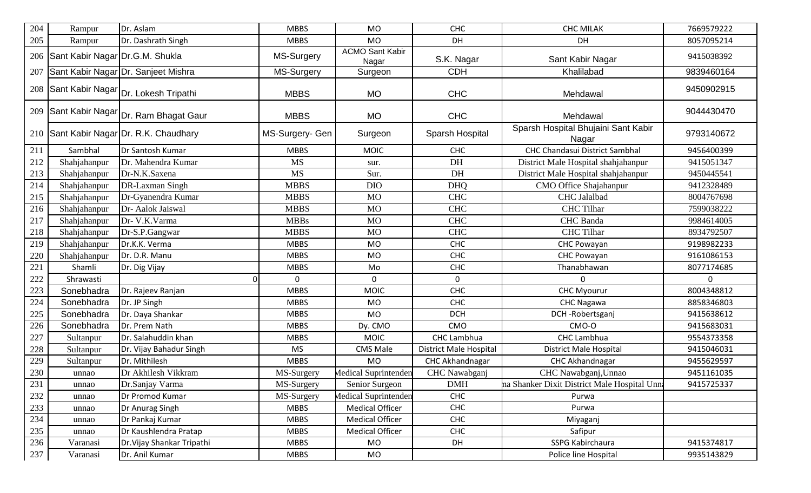| 204 | Rampur                          | Dr. Aslam                                        | <b>MBBS</b>     | <b>MO</b>                       | <b>CHC</b>                    | <b>CHC MILAK</b>                             | 7669579222 |
|-----|---------------------------------|--------------------------------------------------|-----------------|---------------------------------|-------------------------------|----------------------------------------------|------------|
| 205 | Rampur                          | Dr. Dashrath Singh                               | <b>MBBS</b>     | <b>MO</b>                       | DH                            | DH                                           | 8057095214 |
| 206 | Sant Kabir Nagar Dr.G.M. Shukla |                                                  | MS-Surgery      | <b>ACMO Sant Kabir</b><br>Nagar | S.K. Nagar                    | Sant Kabir Nagar                             | 9415038392 |
| 207 |                                 | Sant Kabir Nagar Dr. Sanjeet Mishra              | MS-Surgery      | Surgeon                         | <b>CDH</b>                    | Khalilabad                                   | 9839460164 |
| 208 |                                 | Sant Kabir Nagar  <sub>Dr. Lokesh Tripathi</sub> | <b>MBBS</b>     | <b>MO</b>                       | <b>CHC</b>                    | Mehdawal                                     | 9450902915 |
|     |                                 | 209 Sant Kabir Nagar Dr. Ram Bhagat Gaur         | <b>MBBS</b>     | <b>MO</b>                       | <b>CHC</b>                    | Mehdawal                                     | 9044430470 |
|     |                                 | 210 Sant Kabir Nagar Dr. R.K. Chaudhary          | MS-Surgery- Gen | Surgeon                         | Sparsh Hospital               | Sparsh Hospital Bhujaini Sant Kabir<br>Nagar | 9793140672 |
| 211 | Sambhal                         | Dr Santosh Kumar                                 | <b>MBBS</b>     | <b>MOIC</b>                     | <b>CHC</b>                    | <b>CHC Chandasui District Sambhal</b>        | 9456400399 |
| 212 | Shahjahanpur                    | Dr. Mahendra Kumar                               | <b>MS</b>       | sur.                            | DH                            | District Male Hospital shahjahanpur          | 9415051347 |
| 213 | Shahjahanpur                    | Dr-N.K.Saxena                                    | <b>MS</b>       | Sur.                            | DH                            | District Male Hospital shahjahanpur          | 9450445541 |
| 214 | Shahjahanpur                    | DR-Laxman Singh                                  | <b>MBBS</b>     | <b>DIO</b>                      | <b>DHQ</b>                    | CMO Office Shajahanpur                       | 9412328489 |
| 215 | Shahjahanpur                    | Dr-Gyanendra Kumar                               | <b>MBBS</b>     | <b>MO</b>                       | <b>CHC</b>                    | <b>CHC</b> Jalalbad                          | 8004767698 |
| 216 | Shahjahanpur                    | Dr- Aalok Jaiswal                                | <b>MBBS</b>     | <b>MO</b>                       | <b>CHC</b>                    | <b>CHC</b> Tilhar                            | 7599038222 |
| 217 | Shahjahanpur                    | Dr- V.K.Varma                                    | <b>MBBs</b>     | <b>MO</b>                       | <b>CHC</b>                    | <b>CHC</b> Banda                             | 9984614005 |
| 218 | Shahjahanpur                    | Dr-S.P.Gangwar                                   | <b>MBBS</b>     | <b>MO</b>                       | <b>CHC</b>                    | <b>CHC</b> Tilhar                            | 8934792507 |
| 219 | Shahjahanpur                    | Dr.K.K. Verma                                    | <b>MBBS</b>     | <b>MO</b>                       | <b>CHC</b>                    | CHC Powayan                                  | 9198982233 |
| 220 | Shahjahanpur                    | Dr. D.R. Manu                                    | <b>MBBS</b>     | <b>MO</b>                       | <b>CHC</b>                    | CHC Powayan                                  | 9161086153 |
| 221 | Shamli                          | Dr. Dig Vijay                                    | <b>MBBS</b>     | Mo                              | CHC                           | Thanabhawan                                  | 8077174685 |
| 222 | Shrawasti                       |                                                  | $\Omega$        | $\mathbf{0}$                    | 0                             |                                              | 0          |
| 223 | Sonebhadra                      | Dr. Rajeev Ranjan                                | <b>MBBS</b>     | <b>MOIC</b>                     | CHC                           | <b>CHC Myourur</b>                           | 8004348812 |
| 224 | Sonebhadra                      | Dr. JP Singh                                     | <b>MBBS</b>     | <b>MO</b>                       | CHC                           | <b>CHC Nagawa</b>                            | 8858346803 |
| 225 | Sonebhadra                      | Dr. Daya Shankar                                 | <b>MBBS</b>     | <b>MO</b>                       | <b>DCH</b>                    | DCH-Robertsganj                              | 9415638612 |
| 226 | Sonebhadra                      | Dr. Prem Nath                                    | <b>MBBS</b>     | Dy. CMO                         | CMO                           | CMO-O                                        | 9415683031 |
| 227 | Sultanpur                       | Dr. Salahuddin khan                              | <b>MBBS</b>     | <b>MOIC</b>                     | CHC Lambhua                   | <b>CHC Lambhua</b>                           | 9554373358 |
| 228 | Sultanpur                       | Dr. Vijay Bahadur Singh                          | <b>MS</b>       | CMS Male                        | <b>District Male Hospital</b> | <b>District Male Hospital</b>                | 9415046031 |
| 229 | Sultanpur                       | Dr. Mithilesh                                    | <b>MBBS</b>     | <b>MO</b>                       | CHC Akhandnagar               | CHC Akhandnagar                              | 9455629597 |
| 230 | unnao                           | Dr Akhilesh Vikkram                              | MS-Surgery      | Medical Suprintenden            | CHC Nawabganj                 | CHC Nawabganj, Unnao                         | 9451161035 |
| 231 | unnao                           | Dr.Sanjay Varma                                  | MS-Surgery      | Senior Surgeon                  | <b>DMH</b>                    | na Shanker Dixit District Male Hospital Unn  | 9415725337 |
| 232 | unnao                           | Dr Promod Kumar                                  | MS-Surgery      | Medical Suprintenden            | <b>CHC</b>                    | Purwa                                        |            |
| 233 | unnao                           | Dr Anurag Singh                                  | <b>MBBS</b>     | <b>Medical Officer</b>          | <b>CHC</b>                    | Purwa                                        |            |
| 234 | unnao                           | Dr Pankaj Kumar                                  | <b>MBBS</b>     | <b>Medical Officer</b>          | <b>CHC</b>                    | Miyaganj                                     |            |
| 235 | unnao                           | Dr Kaushlendra Pratap                            | <b>MBBS</b>     | <b>Medical Officer</b>          | <b>CHC</b>                    | Safipur                                      |            |
| 236 | Varanasi                        | Dr. Vijay Shankar Tripathi                       | <b>MBBS</b>     | MO                              | DH                            | SSPG Kabirchaura                             | 9415374817 |
| 237 | Varanasi                        | Dr. Anil Kumar                                   | <b>MBBS</b>     | MO                              |                               | Police line Hospital                         | 9935143829 |